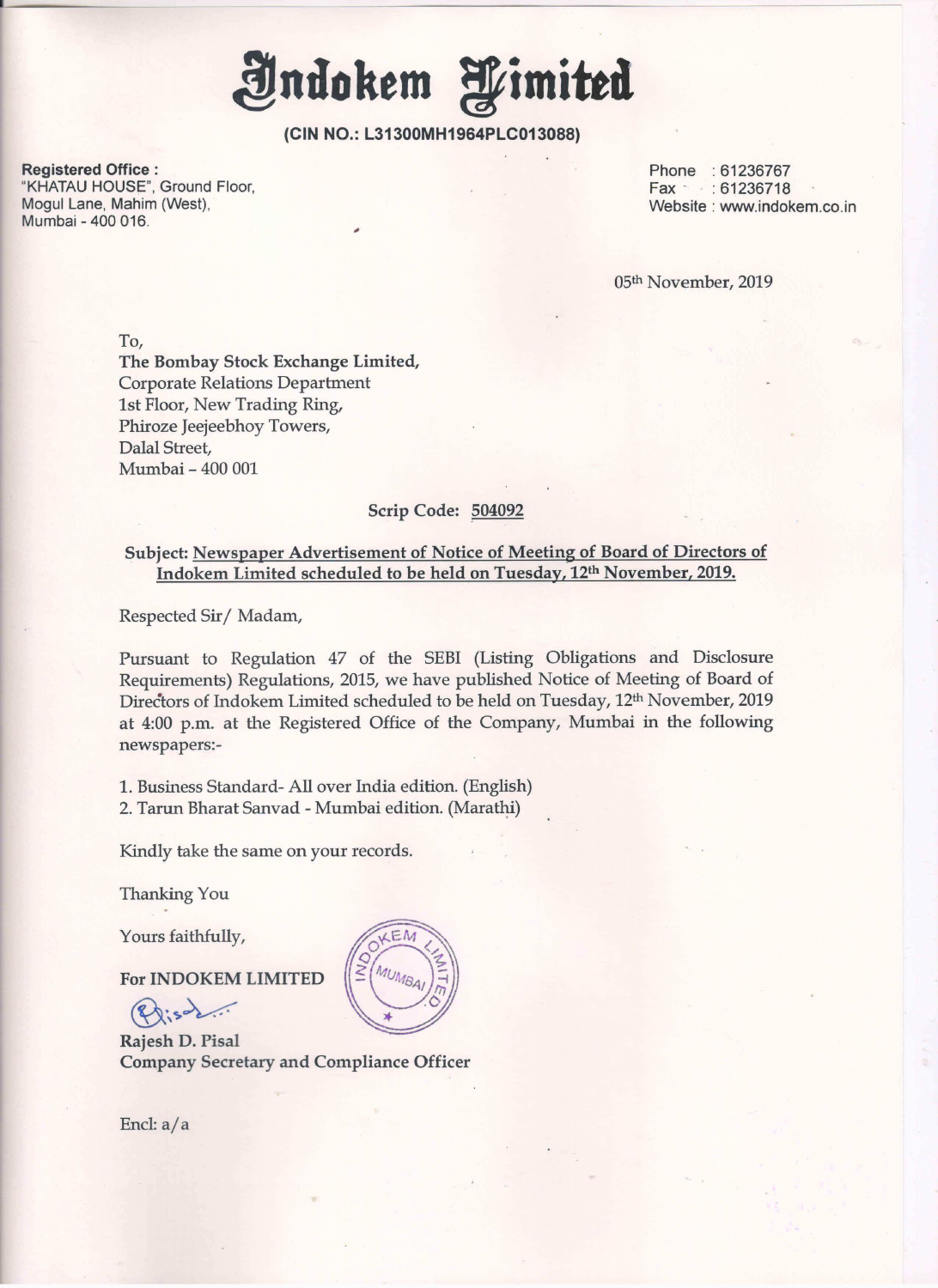Indokem Himited

<u> 1999 - Jan Sterne Hermin van de Franse kan de Franse kan de Franse kan de Franse kan de Franse kan de Franse</u>

(CIN NO.: L31300MH1964PLC013088)

Registered Office : Phone : 61236767 "KHATAU HOUSE", Ground Floor, just a series of the series of the series of the series of the ST236718 Mogul Lane, Mahim (West), Nogul Lane, Mahim (West), Website : www.indokem.co.in<br>Mumbai - 400 016.

05th November, 2019

To, The Bombay Stock Exchange Limited, Corporate Relations Department 1st Floor, New Trading Ring, Phiroze Jeejeebhoy Towers, Dalal Street, Mumbai- <sup>400</sup> <sup>001</sup>

## Scrip Code: 504092

## Subject: Newspaper Advertisement of Notice of Meeting of Board of Directors of Indokem Limited scheduled to be held on Tuesday, 12th November, 2019.

Respected Sir/ Madam,

Pursuant to Regulation 47 of the SEBI (Listing Obligations and Disclosure Requirements) Regulations, 2015, we have published Notice of Meeting of Board of Directors of Indokem Limited scheduled to be held on Tuesday, 12<sup>th</sup> November, 2019 at 4:00 p.m. at the Registered Office of the Company, Mumbai in the following newspapers:-

1. Business Standard- All over India edition. (English) 2. Tarun Bharat Sanvad - Mumbai edition. (Marathi)

Kindly take the same on your records.

Thanking You

Yours faithfully,

For INDOKEM LIMITED

ours ratements

Rajesh D.Pisal Company Secretary and Compliance Officer 

Encl: a/a